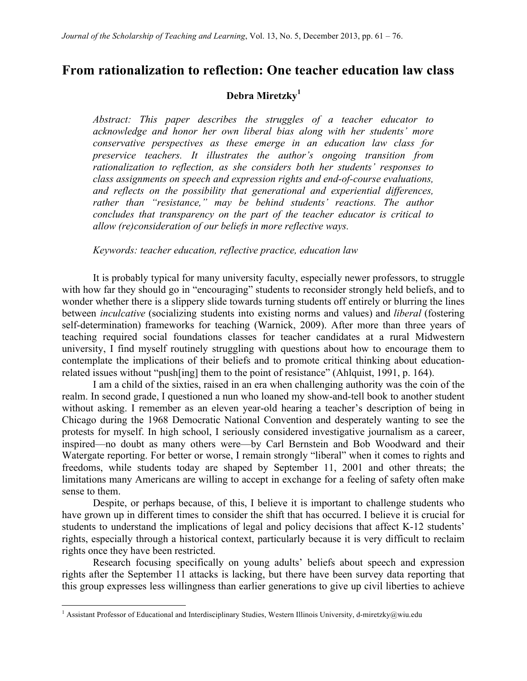# **From rationalization to reflection: One teacher education law class**

## **Debra Miretzky<sup>1</sup>**

*Abstract: This paper describes the struggles of a teacher educator to acknowledge and honor her own liberal bias along with her students' more conservative perspectives as these emerge in an education law class for preservice teachers. It illustrates the author's ongoing transition from rationalization to reflection, as she considers both her students' responses to class assignments on speech and expression rights and end-of-course evaluations, and reflects on the possibility that generational and experiential differences, rather than "resistance," may be behind students' reactions. The author concludes that transparency on the part of the teacher educator is critical to allow (re)consideration of our beliefs in more reflective ways.* 

*Keywords: teacher education, reflective practice, education law*

It is probably typical for many university faculty, especially newer professors, to struggle with how far they should go in "encouraging" students to reconsider strongly held beliefs, and to wonder whether there is a slippery slide towards turning students off entirely or blurring the lines between *inculcative* (socializing students into existing norms and values) and *liberal* (fostering self-determination) frameworks for teaching (Warnick, 2009). After more than three years of teaching required social foundations classes for teacher candidates at a rural Midwestern university, I find myself routinely struggling with questions about how to encourage them to contemplate the implications of their beliefs and to promote critical thinking about educationrelated issues without "push[ing] them to the point of resistance" (Ahlquist, 1991, p. 164).

I am a child of the sixties, raised in an era when challenging authority was the coin of the realm. In second grade, I questioned a nun who loaned my show-and-tell book to another student without asking. I remember as an eleven year-old hearing a teacher's description of being in Chicago during the 1968 Democratic National Convention and desperately wanting to see the protests for myself. In high school, I seriously considered investigative journalism as a career, inspired—no doubt as many others were—by Carl Bernstein and Bob Woodward and their Watergate reporting. For better or worse, I remain strongly "liberal" when it comes to rights and freedoms, while students today are shaped by September 11, 2001 and other threats; the limitations many Americans are willing to accept in exchange for a feeling of safety often make sense to them.

Despite, or perhaps because, of this, I believe it is important to challenge students who have grown up in different times to consider the shift that has occurred. I believe it is crucial for students to understand the implications of legal and policy decisions that affect K-12 students' rights, especially through a historical context, particularly because it is very difficult to reclaim rights once they have been restricted.

Research focusing specifically on young adults' beliefs about speech and expression rights after the September 11 attacks is lacking, but there have been survey data reporting that this group expresses less willingness than earlier generations to give up civil liberties to achieve

<sup>&</sup>lt;sup>1</sup> Assistant Professor of Educational and Interdisciplinary Studies, Western Illinois University, d-miretzky@wiu.edu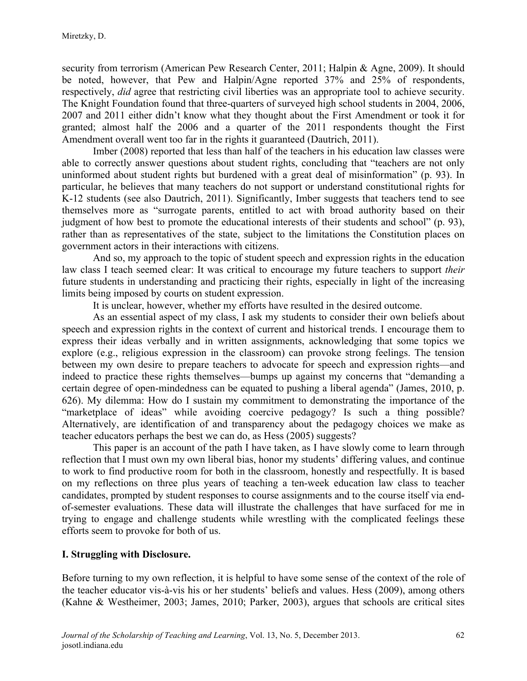security from terrorism (American Pew Research Center, 2011; Halpin & Agne, 2009). It should be noted, however, that Pew and Halpin/Agne reported 37% and 25% of respondents, respectively, *did* agree that restricting civil liberties was an appropriate tool to achieve security. The Knight Foundation found that three-quarters of surveyed high school students in 2004, 2006, 2007 and 2011 either didn't know what they thought about the First Amendment or took it for granted; almost half the 2006 and a quarter of the 2011 respondents thought the First Amendment overall went too far in the rights it guaranteed (Dautrich, 2011).

Imber (2008) reported that less than half of the teachers in his education law classes were able to correctly answer questions about student rights, concluding that "teachers are not only uninformed about student rights but burdened with a great deal of misinformation" (p. 93). In particular, he believes that many teachers do not support or understand constitutional rights for K-12 students (see also Dautrich, 2011). Significantly, Imber suggests that teachers tend to see themselves more as "surrogate parents, entitled to act with broad authority based on their judgment of how best to promote the educational interests of their students and school" (p. 93), rather than as representatives of the state, subject to the limitations the Constitution places on government actors in their interactions with citizens.

And so, my approach to the topic of student speech and expression rights in the education law class I teach seemed clear: It was critical to encourage my future teachers to support *their* future students in understanding and practicing their rights, especially in light of the increasing limits being imposed by courts on student expression.

It is unclear, however, whether my efforts have resulted in the desired outcome.

As an essential aspect of my class, I ask my students to consider their own beliefs about speech and expression rights in the context of current and historical trends. I encourage them to express their ideas verbally and in written assignments, acknowledging that some topics we explore (e.g., religious expression in the classroom) can provoke strong feelings. The tension between my own desire to prepare teachers to advocate for speech and expression rights—and indeed to practice these rights themselves—bumps up against my concerns that "demanding a certain degree of open-mindedness can be equated to pushing a liberal agenda" (James, 2010, p. 626). My dilemma: How do I sustain my commitment to demonstrating the importance of the "marketplace of ideas" while avoiding coercive pedagogy? Is such a thing possible? Alternatively, are identification of and transparency about the pedagogy choices we make as teacher educators perhaps the best we can do, as Hess (2005) suggests?

This paper is an account of the path I have taken, as I have slowly come to learn through reflection that I must own my own liberal bias, honor my students' differing values, and continue to work to find productive room for both in the classroom, honestly and respectfully. It is based on my reflections on three plus years of teaching a ten-week education law class to teacher candidates, prompted by student responses to course assignments and to the course itself via endof-semester evaluations. These data will illustrate the challenges that have surfaced for me in trying to engage and challenge students while wrestling with the complicated feelings these efforts seem to provoke for both of us.

## **I. Struggling with Disclosure.**

Before turning to my own reflection, it is helpful to have some sense of the context of the role of the teacher educator vis-à-vis his or her students' beliefs and values. Hess (2009), among others (Kahne & Westheimer, 2003; James, 2010; Parker, 2003), argues that schools are critical sites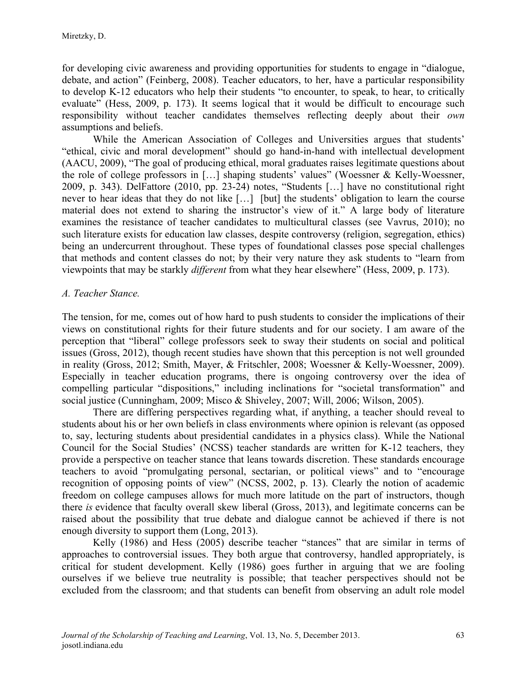for developing civic awareness and providing opportunities for students to engage in "dialogue, debate, and action" (Feinberg, 2008). Teacher educators, to her, have a particular responsibility to develop K-12 educators who help their students "to encounter, to speak, to hear, to critically evaluate" (Hess, 2009, p. 173). It seems logical that it would be difficult to encourage such responsibility without teacher candidates themselves reflecting deeply about their *own*  assumptions and beliefs.

While the American Association of Colleges and Universities argues that students' "ethical, civic and moral development" should go hand-in-hand with intellectual development (AACU, 2009), "The goal of producing ethical, moral graduates raises legitimate questions about the role of college professors in […] shaping students' values" (Woessner & Kelly-Woessner, 2009, p. 343). DelFattore (2010, pp. 23-24) notes, "Students […] have no constitutional right never to hear ideas that they do not like […] [but] the students' obligation to learn the course material does not extend to sharing the instructor's view of it." A large body of literature examines the resistance of teacher candidates to multicultural classes (see Vavrus, 2010); no such literature exists for education law classes, despite controversy (religion, segregation, ethics) being an undercurrent throughout. These types of foundational classes pose special challenges that methods and content classes do not; by their very nature they ask students to "learn from viewpoints that may be starkly *different* from what they hear elsewhere" (Hess, 2009, p. 173).

## *A. Teacher Stance.*

The tension, for me, comes out of how hard to push students to consider the implications of their views on constitutional rights for their future students and for our society. I am aware of the perception that "liberal" college professors seek to sway their students on social and political issues (Gross, 2012), though recent studies have shown that this perception is not well grounded in reality (Gross, 2012; Smith, Mayer, & Fritschler, 2008; Woessner & Kelly-Woessner, 2009). Especially in teacher education programs, there is ongoing controversy over the idea of compelling particular "dispositions," including inclinations for "societal transformation" and social justice (Cunningham, 2009; Misco & Shiveley, 2007; Will, 2006; Wilson, 2005).

There are differing perspectives regarding what, if anything, a teacher should reveal to students about his or her own beliefs in class environments where opinion is relevant (as opposed to, say, lecturing students about presidential candidates in a physics class). While the National Council for the Social Studies' (NCSS) teacher standards are written for K-12 teachers, they provide a perspective on teacher stance that leans towards discretion. These standards encourage teachers to avoid "promulgating personal, sectarian, or political views" and to "encourage recognition of opposing points of view" (NCSS, 2002, p. 13). Clearly the notion of academic freedom on college campuses allows for much more latitude on the part of instructors, though there *is* evidence that faculty overall skew liberal (Gross, 2013), and legitimate concerns can be raised about the possibility that true debate and dialogue cannot be achieved if there is not enough diversity to support them (Long, 2013).

Kelly (1986) and Hess (2005) describe teacher "stances" that are similar in terms of approaches to controversial issues. They both argue that controversy, handled appropriately, is critical for student development. Kelly (1986) goes further in arguing that we are fooling ourselves if we believe true neutrality is possible; that teacher perspectives should not be excluded from the classroom; and that students can benefit from observing an adult role model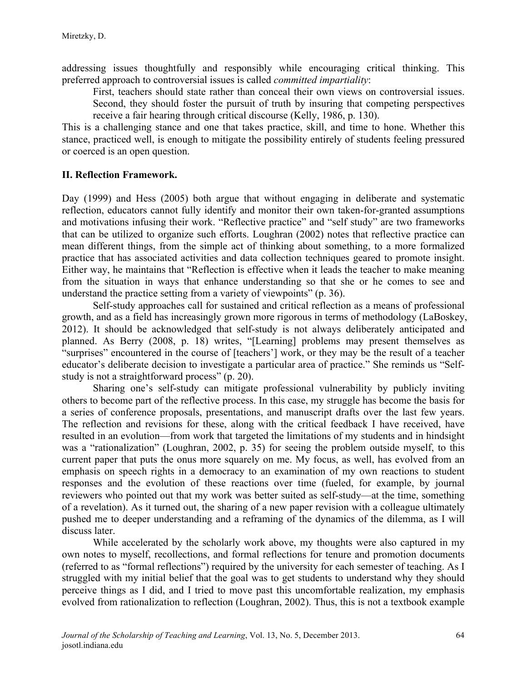addressing issues thoughtfully and responsibly while encouraging critical thinking. This preferred approach to controversial issues is called *committed impartiality*:

First, teachers should state rather than conceal their own views on controversial issues. Second, they should foster the pursuit of truth by insuring that competing perspectives receive a fair hearing through critical discourse (Kelly, 1986, p. 130).

This is a challenging stance and one that takes practice, skill, and time to hone. Whether this stance, practiced well, is enough to mitigate the possibility entirely of students feeling pressured or coerced is an open question.

## **II. Reflection Framework.**

Day (1999) and Hess (2005) both argue that without engaging in deliberate and systematic reflection, educators cannot fully identify and monitor their own taken-for-granted assumptions and motivations infusing their work. "Reflective practice" and "self study" are two frameworks that can be utilized to organize such efforts. Loughran (2002) notes that reflective practice can mean different things, from the simple act of thinking about something, to a more formalized practice that has associated activities and data collection techniques geared to promote insight. Either way, he maintains that "Reflection is effective when it leads the teacher to make meaning from the situation in ways that enhance understanding so that she or he comes to see and understand the practice setting from a variety of viewpoints" (p. 36).

Self-study approaches call for sustained and critical reflection as a means of professional growth, and as a field has increasingly grown more rigorous in terms of methodology (LaBoskey, 2012). It should be acknowledged that self-study is not always deliberately anticipated and planned. As Berry (2008, p. 18) writes, "[Learning] problems may present themselves as "surprises" encountered in the course of [teachers'] work, or they may be the result of a teacher educator's deliberate decision to investigate a particular area of practice." She reminds us "Selfstudy is not a straightforward process" (p. 20).

Sharing one's self-study can mitigate professional vulnerability by publicly inviting others to become part of the reflective process. In this case, my struggle has become the basis for a series of conference proposals, presentations, and manuscript drafts over the last few years. The reflection and revisions for these, along with the critical feedback I have received, have resulted in an evolution—from work that targeted the limitations of my students and in hindsight was a "rationalization" (Loughran, 2002, p. 35) for seeing the problem outside myself, to this current paper that puts the onus more squarely on me. My focus, as well, has evolved from an emphasis on speech rights in a democracy to an examination of my own reactions to student responses and the evolution of these reactions over time (fueled, for example, by journal reviewers who pointed out that my work was better suited as self-study—at the time, something of a revelation). As it turned out, the sharing of a new paper revision with a colleague ultimately pushed me to deeper understanding and a reframing of the dynamics of the dilemma, as I will discuss later.

While accelerated by the scholarly work above, my thoughts were also captured in my own notes to myself, recollections, and formal reflections for tenure and promotion documents (referred to as "formal reflections") required by the university for each semester of teaching. As I struggled with my initial belief that the goal was to get students to understand why they should perceive things as I did, and I tried to move past this uncomfortable realization, my emphasis evolved from rationalization to reflection (Loughran, 2002). Thus, this is not a textbook example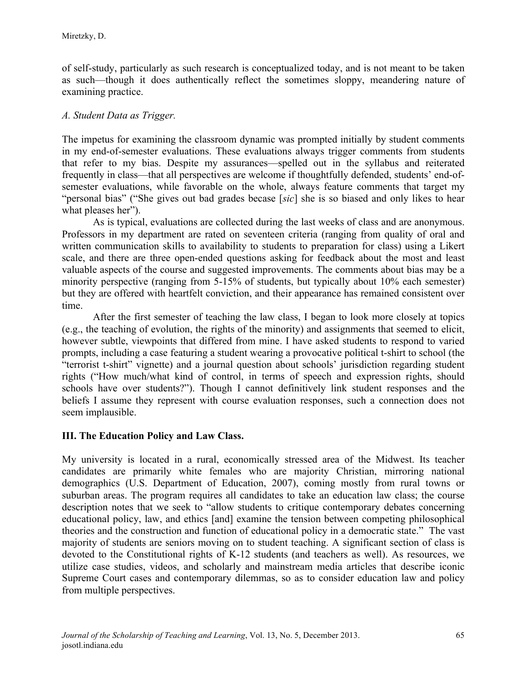of self-study, particularly as such research is conceptualized today, and is not meant to be taken as such—though it does authentically reflect the sometimes sloppy, meandering nature of examining practice.

## *A. Student Data as Trigger.*

The impetus for examining the classroom dynamic was prompted initially by student comments in my end-of-semester evaluations. These evaluations always trigger comments from students that refer to my bias. Despite my assurances—spelled out in the syllabus and reiterated frequently in class—that all perspectives are welcome if thoughtfully defended, students' end-ofsemester evaluations, while favorable on the whole, always feature comments that target my "personal bias" ("She gives out bad grades becase [*sic*] she is so biased and only likes to hear what pleases her").

As is typical, evaluations are collected during the last weeks of class and are anonymous. Professors in my department are rated on seventeen criteria (ranging from quality of oral and written communication skills to availability to students to preparation for class) using a Likert scale, and there are three open-ended questions asking for feedback about the most and least valuable aspects of the course and suggested improvements. The comments about bias may be a minority perspective (ranging from 5-15% of students, but typically about 10% each semester) but they are offered with heartfelt conviction, and their appearance has remained consistent over time.

After the first semester of teaching the law class, I began to look more closely at topics (e.g., the teaching of evolution, the rights of the minority) and assignments that seemed to elicit, however subtle, viewpoints that differed from mine. I have asked students to respond to varied prompts, including a case featuring a student wearing a provocative political t-shirt to school (the "terrorist t-shirt" vignette) and a journal question about schools' jurisdiction regarding student rights ("How much/what kind of control, in terms of speech and expression rights, should schools have over students?"). Though I cannot definitively link student responses and the beliefs I assume they represent with course evaluation responses, such a connection does not seem implausible.

## **III. The Education Policy and Law Class.**

My university is located in a rural, economically stressed area of the Midwest. Its teacher candidates are primarily white females who are majority Christian, mirroring national demographics (U.S. Department of Education, 2007), coming mostly from rural towns or suburban areas. The program requires all candidates to take an education law class; the course description notes that we seek to "allow students to critique contemporary debates concerning educational policy, law, and ethics [and] examine the tension between competing philosophical theories and the construction and function of educational policy in a democratic state." The vast majority of students are seniors moving on to student teaching. A significant section of class is devoted to the Constitutional rights of K-12 students (and teachers as well). As resources, we utilize case studies, videos, and scholarly and mainstream media articles that describe iconic Supreme Court cases and contemporary dilemmas, so as to consider education law and policy from multiple perspectives.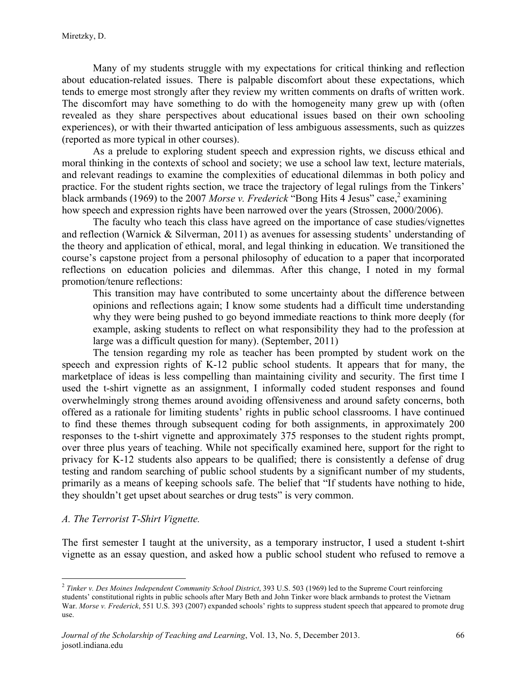Many of my students struggle with my expectations for critical thinking and reflection about education-related issues. There is palpable discomfort about these expectations, which tends to emerge most strongly after they review my written comments on drafts of written work. The discomfort may have something to do with the homogeneity many grew up with (often revealed as they share perspectives about educational issues based on their own schooling experiences), or with their thwarted anticipation of less ambiguous assessments, such as quizzes (reported as more typical in other courses).

As a prelude to exploring student speech and expression rights, we discuss ethical and moral thinking in the contexts of school and society; we use a school law text, lecture materials, and relevant readings to examine the complexities of educational dilemmas in both policy and practice. For the student rights section, we trace the trajectory of legal rulings from the Tinkers' black armbands (1969) to the 2007 *Morse v. Frederick* "Bong Hits 4 Jesus" case,<sup>2</sup> examining how speech and expression rights have been narrowed over the years (Strossen, 2000/2006).

The faculty who teach this class have agreed on the importance of case studies/vignettes and reflection (Warnick & Silverman, 2011) as avenues for assessing students' understanding of the theory and application of ethical, moral, and legal thinking in education. We transitioned the course's capstone project from a personal philosophy of education to a paper that incorporated reflections on education policies and dilemmas. After this change, I noted in my formal promotion/tenure reflections:

This transition may have contributed to some uncertainty about the difference between opinions and reflections again; I know some students had a difficult time understanding why they were being pushed to go beyond immediate reactions to think more deeply (for example, asking students to reflect on what responsibility they had to the profession at large was a difficult question for many). (September, 2011)

The tension regarding my role as teacher has been prompted by student work on the speech and expression rights of K-12 public school students. It appears that for many, the marketplace of ideas is less compelling than maintaining civility and security. The first time I used the t-shirt vignette as an assignment, I informally coded student responses and found overwhelmingly strong themes around avoiding offensiveness and around safety concerns, both offered as a rationale for limiting students' rights in public school classrooms. I have continued to find these themes through subsequent coding for both assignments, in approximately 200 responses to the t-shirt vignette and approximately 375 responses to the student rights prompt, over three plus years of teaching. While not specifically examined here, support for the right to privacy for K-12 students also appears to be qualified; there is consistently a defense of drug testing and random searching of public school students by a significant number of my students, primarily as a means of keeping schools safe. The belief that "If students have nothing to hide, they shouldn't get upset about searches or drug tests" is very common.

#### *A. The Terrorist T-Shirt Vignette.*

The first semester I taught at the university, as a temporary instructor, I used a student t-shirt vignette as an essay question, and asked how a public school student who refused to remove a

<sup>&</sup>lt;sup>2</sup> Tinker v. Des Moines Independent Community School District, 393 U.S. 503 (1969) led to the Supreme Court reinforcing students' constitutional rights in public schools after Mary Beth and John Tinker wore black armbands to protest the Vietnam War. *Morse v. Frederick*, 551 U.S. 393 (2007) expanded schools' rights to suppress student speech that appeared to promote drug use.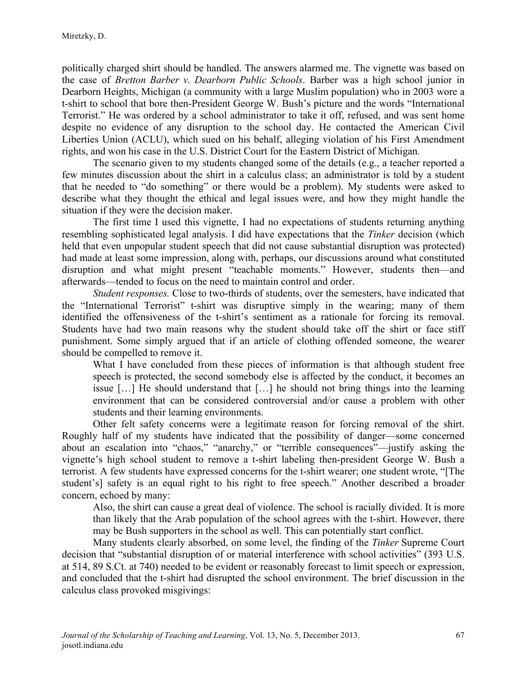politically charged shirt should be handled. The answers alarmed me. The vignette was based on the case of *Bretton Barber v. Dearborn Public Schools*. Barber was a high school junior in Dearborn Heights, Michigan (a community with a large Muslim population) who in 2003 wore a t-shirt to school that bore then-President George W. Bush's picture and the words "International Terrorist." He was ordered by a school administrator to take it off, refused, and was sent home despite no evidence of any disruption to the school day. He contacted the American Civil Liberties Union (ACLU), which sued on his behalf, alleging violation of his First Amendment rights, and won his case in the U.S. District Court for the Eastern District of Michigan*.*

The scenario given to my students changed some of the details (e.g., a teacher reported a few minutes discussion about the shirt in a calculus class; an administrator is told by a student that he needed to "do something" or there would be a problem). My students were asked to describe what they thought the ethical and legal issues were, and how they might handle the situation if they were the decision maker.

The first time I used this vignette, I had no expectations of students returning anything resembling sophisticated legal analysis. I did have expectations that the *Tinker* decision (which held that even unpopular student speech that did not cause substantial disruption was protected) had made at least some impression, along with, perhaps, our discussions around what constituted disruption and what might present "teachable moments." However, students then—and afterwards—tended to focus on the need to maintain control and order.

*Student responses.* Close to two-thirds of students, over the semesters, have indicated that the "International Terrorist" t-shirt was disruptive simply in the wearing; many of them identified the offensiveness of the t-shirt's sentiment as a rationale for forcing its removal. Students have had two main reasons why the student should take off the shirt or face stiff punishment. Some simply argued that if an article of clothing offended someone, the wearer should be compelled to remove it.

What I have concluded from these pieces of information is that although student free speech is protected, the second somebody else is affected by the conduct, it becomes an issue […] He should understand that […] he should not bring things into the learning environment that can be considered controversial and/or cause a problem with other students and their learning environments.

Other felt safety concerns were a legitimate reason for forcing removal of the shirt. Roughly half of my students have indicated that the possibility of danger—some concerned about an escalation into "chaos," "anarchy," or "terrible consequences"—justify asking the vignette's high school student to remove a t-shirt labeling then-president George W. Bush a terrorist. A few students have expressed concerns for the t-shirt wearer; one student wrote, "[The student's] safety is an equal right to his right to free speech." Another described a broader concern, echoed by many:

Also, the shirt can cause a great deal of violence. The school is racially divided. It is more than likely that the Arab population of the school agrees with the t-shirt. However, there may be Bush supporters in the school as well. This can potentially start conflict.

Many students clearly absorbed, on some level, the finding of the *Tinker* Supreme Court decision that "substantial disruption of or material interference with school activities" (393 U.S. at 514, 89 S.Ct. at 740) needed to be evident or reasonably forecast to limit speech or expression, and concluded that the t-shirt had disrupted the school environment. The brief discussion in the calculus class provoked misgivings: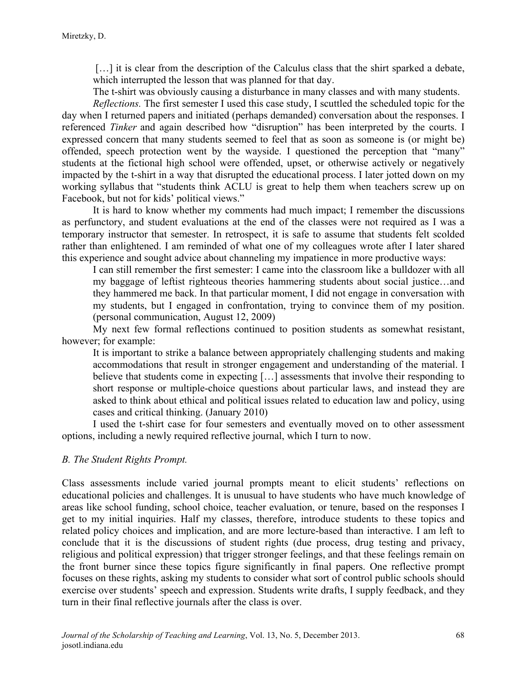[...] it is clear from the description of the Calculus class that the shirt sparked a debate, which interrupted the lesson that was planned for that day.

The t-shirt was obviously causing a disturbance in many classes and with many students.

*Reflections.* The first semester I used this case study, I scuttled the scheduled topic for the day when I returned papers and initiated (perhaps demanded) conversation about the responses. I referenced *Tinker* and again described how "disruption" has been interpreted by the courts. I expressed concern that many students seemed to feel that as soon as someone is (or might be) offended, speech protection went by the wayside. I questioned the perception that "many" students at the fictional high school were offended, upset, or otherwise actively or negatively impacted by the t-shirt in a way that disrupted the educational process. I later jotted down on my working syllabus that "students think ACLU is great to help them when teachers screw up on Facebook, but not for kids' political views."

It is hard to know whether my comments had much impact; I remember the discussions as perfunctory, and student evaluations at the end of the classes were not required as I was a temporary instructor that semester. In retrospect, it is safe to assume that students felt scolded rather than enlightened. I am reminded of what one of my colleagues wrote after I later shared this experience and sought advice about channeling my impatience in more productive ways:

I can still remember the first semester: I came into the classroom like a bulldozer with all my baggage of leftist righteous theories hammering students about social justice…and they hammered me back. In that particular moment, I did not engage in conversation with my students, but I engaged in confrontation, trying to convince them of my position. (personal communication, August 12, 2009)

My next few formal reflections continued to position students as somewhat resistant, however; for example:

It is important to strike a balance between appropriately challenging students and making accommodations that result in stronger engagement and understanding of the material. I believe that students come in expecting [...] assessments that involve their responding to short response or multiple-choice questions about particular laws, and instead they are asked to think about ethical and political issues related to education law and policy, using cases and critical thinking. (January 2010)

I used the t-shirt case for four semesters and eventually moved on to other assessment options, including a newly required reflective journal, which I turn to now.

#### *B. The Student Rights Prompt.*

Class assessments include varied journal prompts meant to elicit students' reflections on educational policies and challenges. It is unusual to have students who have much knowledge of areas like school funding, school choice, teacher evaluation, or tenure, based on the responses I get to my initial inquiries. Half my classes, therefore, introduce students to these topics and related policy choices and implication, and are more lecture-based than interactive. I am left to conclude that it is the discussions of student rights (due process, drug testing and privacy, religious and political expression) that trigger stronger feelings, and that these feelings remain on the front burner since these topics figure significantly in final papers. One reflective prompt focuses on these rights, asking my students to consider what sort of control public schools should exercise over students' speech and expression. Students write drafts, I supply feedback, and they turn in their final reflective journals after the class is over.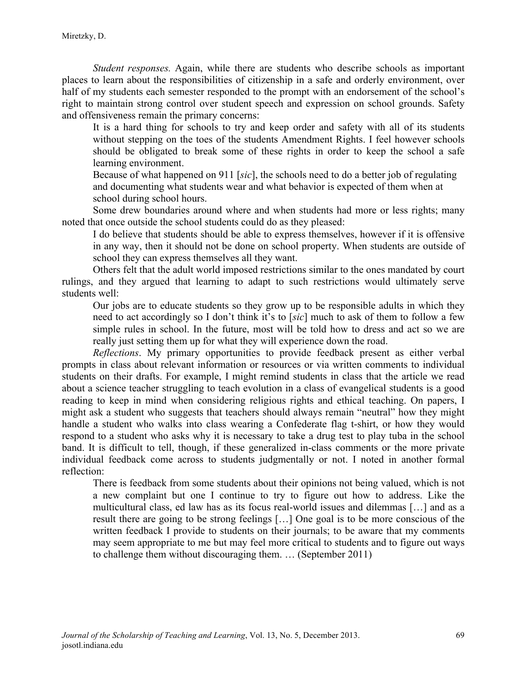*Student responses.* Again, while there are students who describe schools as important places to learn about the responsibilities of citizenship in a safe and orderly environment, over half of my students each semester responded to the prompt with an endorsement of the school's right to maintain strong control over student speech and expression on school grounds. Safety and offensiveness remain the primary concerns:

It is a hard thing for schools to try and keep order and safety with all of its students without stepping on the toes of the students Amendment Rights. I feel however schools should be obligated to break some of these rights in order to keep the school a safe learning environment.

Because of what happened on 911 [*sic*], the schools need to do a better job of regulating and documenting what students wear and what behavior is expected of them when at school during school hours.

Some drew boundaries around where and when students had more or less rights; many noted that once outside the school students could do as they pleased:

I do believe that students should be able to express themselves, however if it is offensive in any way, then it should not be done on school property. When students are outside of school they can express themselves all they want.

Others felt that the adult world imposed restrictions similar to the ones mandated by court rulings, and they argued that learning to adapt to such restrictions would ultimately serve students well:

Our jobs are to educate students so they grow up to be responsible adults in which they need to act accordingly so I don't think it's to [*sic*] much to ask of them to follow a few simple rules in school. In the future, most will be told how to dress and act so we are really just setting them up for what they will experience down the road.

*Reflections*. My primary opportunities to provide feedback present as either verbal prompts in class about relevant information or resources or via written comments to individual students on their drafts. For example, I might remind students in class that the article we read about a science teacher struggling to teach evolution in a class of evangelical students is a good reading to keep in mind when considering religious rights and ethical teaching. On papers, I might ask a student who suggests that teachers should always remain "neutral" how they might handle a student who walks into class wearing a Confederate flag t-shirt, or how they would respond to a student who asks why it is necessary to take a drug test to play tuba in the school band. It is difficult to tell, though, if these generalized in-class comments or the more private individual feedback come across to students judgmentally or not. I noted in another formal reflection:

There is feedback from some students about their opinions not being valued, which is not a new complaint but one I continue to try to figure out how to address. Like the multicultural class, ed law has as its focus real-world issues and dilemmas […] and as a result there are going to be strong feelings […] One goal is to be more conscious of the written feedback I provide to students on their journals; to be aware that my comments may seem appropriate to me but may feel more critical to students and to figure out ways to challenge them without discouraging them. … (September 2011)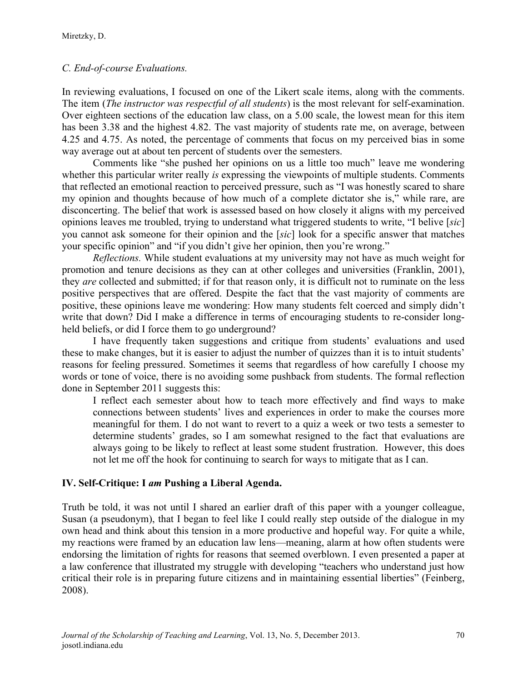## *C. End-of-course Evaluations.*

In reviewing evaluations, I focused on one of the Likert scale items, along with the comments. The item (*The instructor was respectful of all students*) is the most relevant for self-examination. Over eighteen sections of the education law class, on a 5.00 scale, the lowest mean for this item has been 3.38 and the highest 4.82. The vast majority of students rate me, on average, between 4.25 and 4.75. As noted, the percentage of comments that focus on my perceived bias in some way average out at about ten percent of students over the semesters.

Comments like "she pushed her opinions on us a little too much" leave me wondering whether this particular writer really *is* expressing the viewpoints of multiple students. Comments that reflected an emotional reaction to perceived pressure, such as "I was honestly scared to share my opinion and thoughts because of how much of a complete dictator she is," while rare, are disconcerting. The belief that work is assessed based on how closely it aligns with my perceived opinions leaves me troubled, trying to understand what triggered students to write, "I belive [*sic*] you cannot ask someone for their opinion and the [*sic*] look for a specific answer that matches your specific opinion" and "if you didn't give her opinion, then you're wrong."

*Reflections.* While student evaluations at my university may not have as much weight for promotion and tenure decisions as they can at other colleges and universities (Franklin, 2001), they *are* collected and submitted; if for that reason only, it is difficult not to ruminate on the less positive perspectives that are offered. Despite the fact that the vast majority of comments are positive, these opinions leave me wondering: How many students felt coerced and simply didn't write that down? Did I make a difference in terms of encouraging students to re-consider longheld beliefs, or did I force them to go underground?

I have frequently taken suggestions and critique from students' evaluations and used these to make changes, but it is easier to adjust the number of quizzes than it is to intuit students' reasons for feeling pressured. Sometimes it seems that regardless of how carefully I choose my words or tone of voice, there is no avoiding some pushback from students. The formal reflection done in September 2011 suggests this:

I reflect each semester about how to teach more effectively and find ways to make connections between students' lives and experiences in order to make the courses more meaningful for them. I do not want to revert to a quiz a week or two tests a semester to determine students' grades, so I am somewhat resigned to the fact that evaluations are always going to be likely to reflect at least some student frustration. However, this does not let me off the hook for continuing to search for ways to mitigate that as I can.

## **IV. Self-Critique: I** *am* **Pushing a Liberal Agenda.**

Truth be told, it was not until I shared an earlier draft of this paper with a younger colleague, Susan (a pseudonym), that I began to feel like I could really step outside of the dialogue in my own head and think about this tension in a more productive and hopeful way. For quite a while, my reactions were framed by an education law lens—meaning, alarm at how often students were endorsing the limitation of rights for reasons that seemed overblown. I even presented a paper at a law conference that illustrated my struggle with developing "teachers who understand just how critical their role is in preparing future citizens and in maintaining essential liberties" (Feinberg, 2008).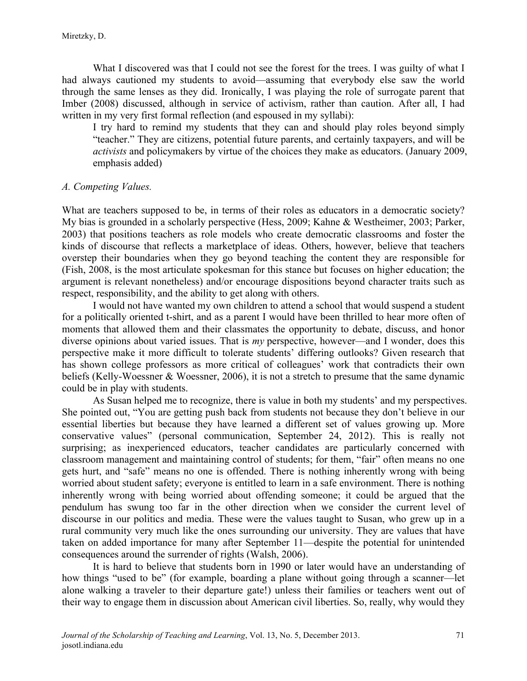What I discovered was that I could not see the forest for the trees. I was guilty of what I had always cautioned my students to avoid—assuming that everybody else saw the world through the same lenses as they did. Ironically, I was playing the role of surrogate parent that Imber (2008) discussed, although in service of activism, rather than caution. After all, I had written in my very first formal reflection (and espoused in my syllabi):

I try hard to remind my students that they can and should play roles beyond simply "teacher." They are citizens, potential future parents, and certainly taxpayers, and will be *activists* and policymakers by virtue of the choices they make as educators. (January 2009, emphasis added)

#### *A. Competing Values.*

What are teachers supposed to be, in terms of their roles as educators in a democratic society? My bias is grounded in a scholarly perspective (Hess, 2009; Kahne & Westheimer, 2003; Parker, 2003) that positions teachers as role models who create democratic classrooms and foster the kinds of discourse that reflects a marketplace of ideas. Others, however, believe that teachers overstep their boundaries when they go beyond teaching the content they are responsible for (Fish, 2008, is the most articulate spokesman for this stance but focuses on higher education; the argument is relevant nonetheless) and/or encourage dispositions beyond character traits such as respect, responsibility, and the ability to get along with others.

I would not have wanted my own children to attend a school that would suspend a student for a politically oriented t-shirt, and as a parent I would have been thrilled to hear more often of moments that allowed them and their classmates the opportunity to debate, discuss, and honor diverse opinions about varied issues. That is *my* perspective, however—and I wonder, does this perspective make it more difficult to tolerate students' differing outlooks? Given research that has shown college professors as more critical of colleagues' work that contradicts their own beliefs (Kelly-Woessner & Woessner, 2006), it is not a stretch to presume that the same dynamic could be in play with students.

As Susan helped me to recognize, there is value in both my students' and my perspectives. She pointed out, "You are getting push back from students not because they don't believe in our essential liberties but because they have learned a different set of values growing up. More conservative values" (personal communication, September 24, 2012). This is really not surprising; as inexperienced educators, teacher candidates are particularly concerned with classroom management and maintaining control of students; for them, "fair" often means no one gets hurt, and "safe" means no one is offended. There is nothing inherently wrong with being worried about student safety; everyone is entitled to learn in a safe environment. There is nothing inherently wrong with being worried about offending someone; it could be argued that the pendulum has swung too far in the other direction when we consider the current level of discourse in our politics and media. These were the values taught to Susan, who grew up in a rural community very much like the ones surrounding our university. They are values that have taken on added importance for many after September 11—despite the potential for unintended consequences around the surrender of rights (Walsh, 2006).

It is hard to believe that students born in 1990 or later would have an understanding of how things "used to be" (for example, boarding a plane without going through a scanner—let alone walking a traveler to their departure gate!) unless their families or teachers went out of their way to engage them in discussion about American civil liberties. So, really, why would they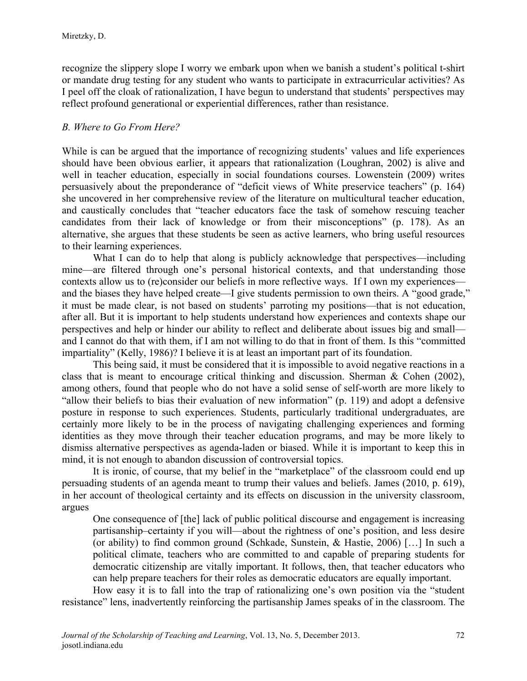recognize the slippery slope I worry we embark upon when we banish a student's political t-shirt or mandate drug testing for any student who wants to participate in extracurricular activities? As I peel off the cloak of rationalization, I have begun to understand that students' perspectives may reflect profound generational or experiential differences, rather than resistance.

## *B. Where to Go From Here?*

While is can be argued that the importance of recognizing students' values and life experiences should have been obvious earlier, it appears that rationalization (Loughran, 2002) is alive and well in teacher education, especially in social foundations courses. Lowenstein (2009) writes persuasively about the preponderance of "deficit views of White preservice teachers" (p. 164) she uncovered in her comprehensive review of the literature on multicultural teacher education, and caustically concludes that "teacher educators face the task of somehow rescuing teacher candidates from their lack of knowledge or from their misconceptions" (p. 178). As an alternative, she argues that these students be seen as active learners, who bring useful resources to their learning experiences.

What I can do to help that along is publicly acknowledge that perspectives—including mine—are filtered through one's personal historical contexts, and that understanding those contexts allow us to (re)consider our beliefs in more reflective ways. If I own my experiences and the biases they have helped create—I give students permission to own theirs. A "good grade," it must be made clear, is not based on students' parroting my positions—that is not education, after all. But it is important to help students understand how experiences and contexts shape our perspectives and help or hinder our ability to reflect and deliberate about issues big and small and I cannot do that with them, if I am not willing to do that in front of them. Is this "committed impartiality" (Kelly, 1986)? I believe it is at least an important part of its foundation.

This being said, it must be considered that it is impossible to avoid negative reactions in a class that is meant to encourage critical thinking and discussion. Sherman & Cohen (2002), among others, found that people who do not have a solid sense of self-worth are more likely to "allow their beliefs to bias their evaluation of new information" (p. 119) and adopt a defensive posture in response to such experiences. Students, particularly traditional undergraduates, are certainly more likely to be in the process of navigating challenging experiences and forming identities as they move through their teacher education programs, and may be more likely to dismiss alternative perspectives as agenda-laden or biased. While it is important to keep this in mind, it is not enough to abandon discussion of controversial topics.

It is ironic, of course, that my belief in the "marketplace" of the classroom could end up persuading students of an agenda meant to trump their values and beliefs. James (2010, p. 619), in her account of theological certainty and its effects on discussion in the university classroom, argues

One consequence of [the] lack of public political discourse and engagement is increasing partisanship–certainty if you will—about the rightness of one's position, and less desire (or ability) to find common ground (Schkade, Sunstein, & Hastie, 2006) […] In such a political climate, teachers who are committed to and capable of preparing students for democratic citizenship are vitally important. It follows, then, that teacher educators who can help prepare teachers for their roles as democratic educators are equally important.

How easy it is to fall into the trap of rationalizing one's own position via the "student resistance" lens, inadvertently reinforcing the partisanship James speaks of in the classroom. The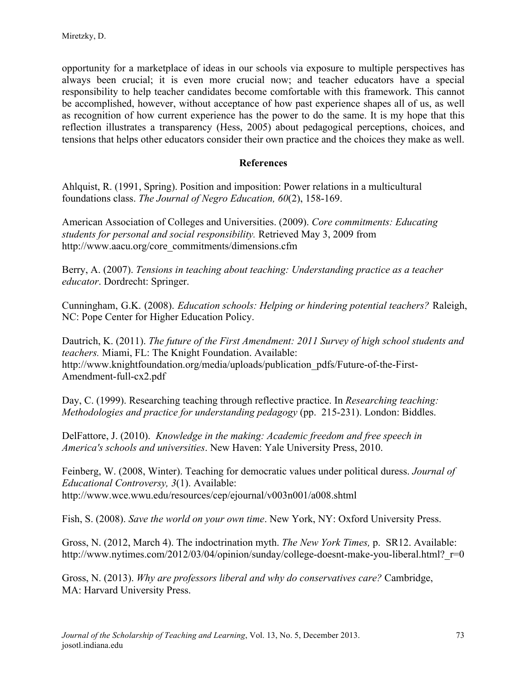opportunity for a marketplace of ideas in our schools via exposure to multiple perspectives has always been crucial; it is even more crucial now; and teacher educators have a special responsibility to help teacher candidates become comfortable with this framework. This cannot be accomplished, however, without acceptance of how past experience shapes all of us, as well as recognition of how current experience has the power to do the same. It is my hope that this reflection illustrates a transparency (Hess, 2005) about pedagogical perceptions, choices, and tensions that helps other educators consider their own practice and the choices they make as well.

### **References**

Ahlquist, R. (1991, Spring). Position and imposition: Power relations in a multicultural foundations class. *The Journal of Negro Education, 60*(2), 158-169.

American Association of Colleges and Universities. (2009). *Core commitments: Educating students for personal and social responsibility.* Retrieved May 3, 2009 from http://www.aacu.org/core\_commitments/dimensions.cfm

Berry, A. (2007). *Tensions in teaching about teaching: Understanding practice as a teacher educator*. Dordrecht: Springer.

Cunningham, G.K. (2008). *Education schools: Helping or hindering potential teachers?* Raleigh, NC: Pope Center for Higher Education Policy.

Dautrich, K. (2011). *The future of the First Amendment: 2011 Survey of high school students and teachers.* Miami, FL: The Knight Foundation. Available: http://www.knightfoundation.org/media/uploads/publication\_pdfs/Future-of-the-First-Amendment-full-cx2.pdf

Day, C. (1999). Researching teaching through reflective practice. In *Researching teaching: Methodologies and practice for understanding pedagogy* (pp. 215-231). London: Biddles.

DelFattore, J. (2010). *Knowledge in the making: Academic freedom and free speech in America's schools and universities*. New Haven: Yale University Press, 2010.

Feinberg, W. (2008, Winter). Teaching for democratic values under political duress. *Journal of Educational Controversy, 3*(1). Available: http://www.wce.wwu.edu/resources/cep/ejournal/v003n001/a008.shtml

Fish, S. (2008). *Save the world on your own time*. New York, NY: Oxford University Press.

Gross, N. (2012, March 4). The indoctrination myth. *The New York Times,* p. SR12. Available: http://www.nytimes.com/2012/03/04/opinion/sunday/college-doesnt-make-you-liberal.html? r=0

Gross, N. (2013). *Why are professors liberal and why do conservatives care?* Cambridge, MA: Harvard University Press.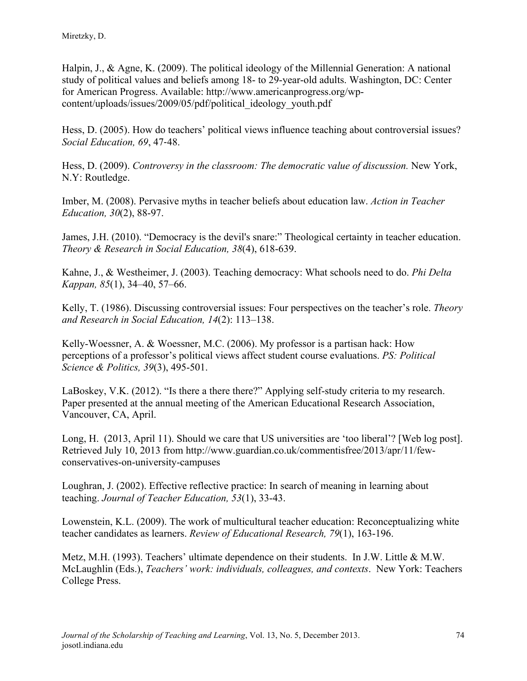Halpin, J., & Agne, K. (2009). The political ideology of the Millennial Generation: A national study of political values and beliefs among 18- to 29-year-old adults. Washington, DC: Center for American Progress. Available: http://www.americanprogress.org/wpcontent/uploads/issues/2009/05/pdf/political\_ideology\_youth.pdf

Hess, D. (2005). How do teachers' political views influence teaching about controversial issues? *Social Education, 69*, 47-48.

Hess, D. (2009). *Controversy in the classroom: The democratic value of discussion.* New York, N.Y: Routledge.

Imber, M. (2008). Pervasive myths in teacher beliefs about education law. *Action in Teacher Education, 30*(2), 88-97.

James, J.H. (2010). "Democracy is the devil's snare:" Theological certainty in teacher education. *Theory & Research in Social Education, 38*(4), 618-639.

Kahne, J., & Westheimer, J. (2003). Teaching democracy: What schools need to do. *Phi Delta Kappan, 85*(1), 34–40, 57–66.

Kelly, T. (1986). Discussing controversial issues: Four perspectives on the teacher's role. *Theory and Research in Social Education, 14*(2): 113–138.

Kelly-Woessner, A. & Woessner, M.C. (2006). My professor is a partisan hack: How perceptions of a professor's political views affect student course evaluations. *PS: Political Science & Politics, 39*(3), 495-501.

LaBoskey, V.K. (2012). "Is there a there there?" Applying self-study criteria to my research. Paper presented at the annual meeting of the American Educational Research Association, Vancouver, CA, April.

Long, H. (2013, April 11). Should we care that US universities are 'too liberal'? [Web log post]. Retrieved July 10, 2013 from http://www.guardian.co.uk/commentisfree/2013/apr/11/fewconservatives-on-university-campuses

Loughran, J. (2002). Effective reflective practice: In search of meaning in learning about teaching. *Journal of Teacher Education, 53*(1), 33-43.

Lowenstein, K.L. (2009). The work of multicultural teacher education: Reconceptualizing white teacher candidates as learners. *Review of Educational Research, 79*(1), 163-196.

Metz, M.H. (1993). Teachers' ultimate dependence on their students. In J.W. Little & M.W. McLaughlin (Eds.), *Teachers' work: individuals, colleagues, and contexts*. New York: Teachers College Press.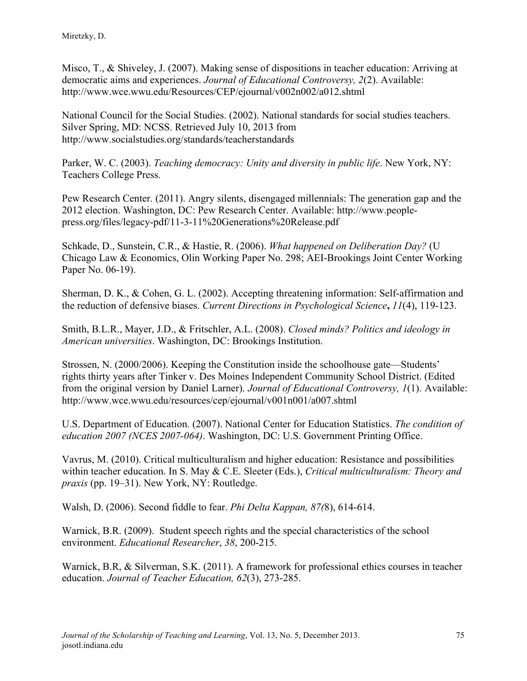Misco, T., & Shiveley, J. (2007). Making sense of dispositions in teacher education: Arriving at democratic aims and experiences. *Journal of Educational Controversy, 2*(2). Available: http://www.wce.wwu.edu/Resources/CEP/ejournal/v002n002/a012.shtml

National Council for the Social Studies. (2002). National standards for social studies teachers. Silver Spring, MD: NCSS. Retrieved July 10, 2013 from http://www.socialstudies.org/standards/teacherstandards

Parker, W. C. (2003). *Teaching democracy: Unity and diversity in public life*. New York, NY: Teachers College Press.

Pew Research Center. (2011). Angry silents, disengaged millennials: The generation gap and the 2012 election. Washington, DC: Pew Research Center. Available: http://www.peoplepress.org/files/legacy-pdf/11-3-11%20Generations%20Release.pdf

Schkade, D., Sunstein, C.R., & Hastie, R. (2006). *What happened on Deliberation Day?* (U Chicago Law & Economics, Olin Working Paper No. 298; AEI-Brookings Joint Center Working Paper No. 06-19).

Sherman, D. K., & Cohen, G. L. (2002). Accepting threatening information: Self-affirmation and the reduction of defensive biases. *Current Directions in Psychological Science***,** *11*(4), 119-123.

Smith, B.L.R., Mayer, J.D., & Fritschler, A.L. (2008). *Closed minds? Politics and ideology in American universities*. Washington, DC: Brookings Institution.

Strossen, N. (2000/2006). Keeping the Constitution inside the schoolhouse gate—Students' rights thirty years after Tinker v. Des Moines Independent Community School District. (Edited from the original version by Daniel Larner). *Journal of Educational Controversy, 1*(1). Available: http://www.wce.wwu.edu/resources/cep/ejournal/v001n001/a007.shtml

U.S. Department of Education. (2007). National Center for Education Statistics. *The condition of education 2007 (NCES 2007-064)*. Washington, DC: U.S. Government Printing Office.

Vavrus, M. (2010). Critical multiculturalism and higher education: Resistance and possibilities within teacher education. In S. May & C.E. Sleeter (Eds.), *Critical multiculturalism: Theory and praxis* (pp. 19–31). New York, NY: Routledge.

Walsh, D. (2006). Second fiddle to fear. *Phi Delta Kappan, 87(*8), 614-614.

Warnick, B.R. (2009). Student speech rights and the special characteristics of the school environment. *Educational Researcher*, *38*, 200-215.

Warnick, B.R, & Silverman, S.K. (2011). A framework for professional ethics courses in teacher education. *Journal of Teacher Education, 62*(3), 273-285.